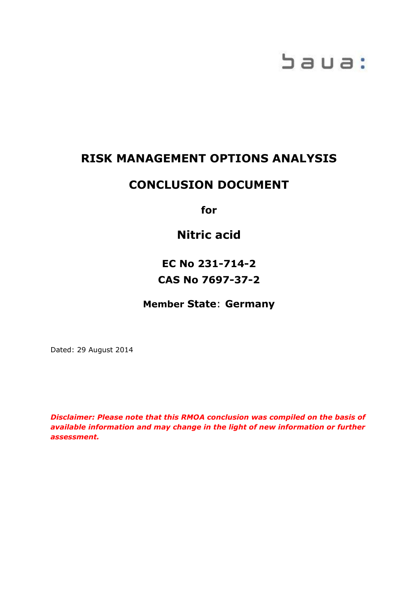# baua:

# **RISK MANAGEMENT OPTIONS ANALYSIS**

# **CONCLUSION DOCUMENT**

**for**

**Nitric acid**

**EC No 231-714-2 CAS No 7697-37-2**

**Member State**: **Germany**

Dated: 29 August 2014

*Disclaimer: Please note that this RMOA conclusion was compiled on the basis of available information and may change in the light of new information or further assessment.*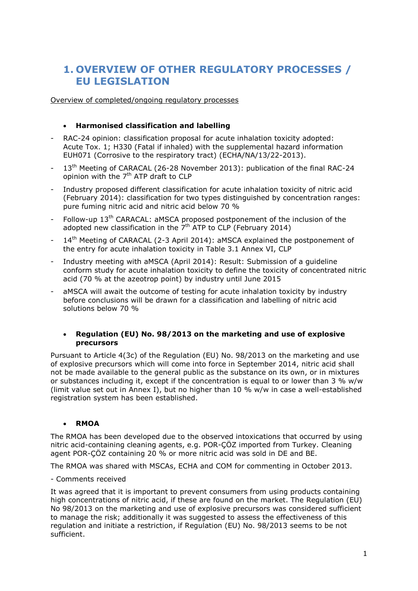# **1. OVERVIEW OF OTHER REGULATORY PROCESSES / EU LEGISLATION**

Overview of completed/ongoing regulatory processes

### **Harmonised classification and labelling**

- RAC-24 opinion: classification proposal for acute inhalation toxicity adopted: Acute Tox. 1; H330 (Fatal if inhaled) with the supplemental hazard information EUH071 (Corrosive to the respiratory tract) (ECHA/NA/13/22-2013).
- $13<sup>th</sup>$  Meeting of CARACAL (26-28 November 2013): publication of the final RAC-24 opinion with the  $7<sup>th</sup>$  ATP draft to CLP
- Industry proposed different classification for acute inhalation toxicity of nitric acid (February 2014): classification for two types distinguished by concentration ranges: pure fuming nitric acid and nitric acid below 70 %
- Follow-up 13<sup>th</sup> CARACAL: aMSCA proposed postponement of the inclusion of the adopted new classification in the  $7<sup>th</sup>$  ATP to CLP (February 2014)
- 14<sup>th</sup> Meeting of CARACAL (2-3 April 2014): aMSCA explained the postponement of the entry for acute inhalation toxicity in Table 3.1 Annex VI, CLP
- Industry meeting with aMSCA (April 2014): Result: Submission of a guideline conform study for acute inhalation toxicity to define the toxicity of concentrated nitric acid (70 % at the azeotrop point) by industry until June 2015
- aMSCA will await the outcome of testing for acute inhalation toxicity by industry before conclusions will be drawn for a classification and labelling of nitric acid solutions below 70 %

#### **Regulation (EU) No. 98/2013 on the marketing and use of explosive precursors**

Pursuant to Article 4(3c) of the Regulation (EU) No. 98/2013 on the marketing and use of explosive precursors which will come into force in September 2014, nitric acid shall not be made available to the general public as the substance on its own, or in mixtures or substances including it, except if the concentration is equal to or lower than 3 % w/w (limit value set out in Annex I), but no higher than 10 % w/w in case a well-established registration system has been established.

#### **RMOA**

The RMOA has been developed due to the observed intoxications that occurred by using nitric acid-containing cleaning agents, e.g. POR-ÇÖZ imported from Turkey. Cleaning agent POR-ÇÖZ containing 20 % or more nitric acid was sold in DE and BE.

The RMOA was shared with MSCAs, ECHA and COM for commenting in October 2013.

- Comments received

It was agreed that it is important to prevent consumers from using products containing high concentrations of nitric acid, if these are found on the market. The Regulation (EU) No 98/2013 on the marketing and use of explosive precursors was considered sufficient to manage the risk; additionally it was suggested to assess the effectiveness of this regulation and initiate a restriction, if Regulation (EU) No. 98/2013 seems to be not sufficient.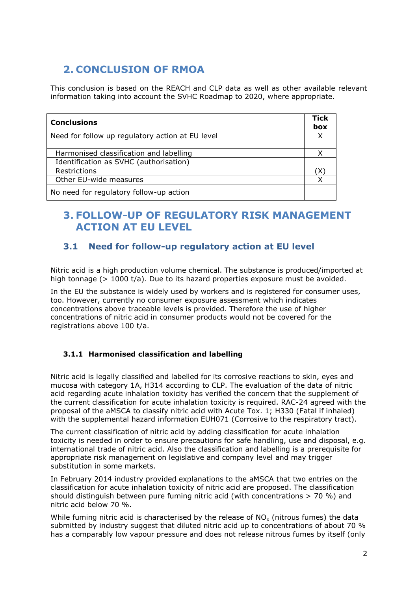# **2. CONCLUSION OF RMOA**

This conclusion is based on the REACH and CLP data as well as other available relevant information taking into account the SVHC Roadmap to 2020, where appropriate.

| <b>Conclusions</b>                               | <b>Tick</b><br>box |
|--------------------------------------------------|--------------------|
| Need for follow up regulatory action at EU level |                    |
| Harmonised classification and labelling          |                    |
| Identification as SVHC (authorisation)           |                    |
| Restrictions                                     |                    |
| Other EU-wide measures                           |                    |
| No need for regulatory follow-up action          |                    |

# **3. FOLLOW-UP OF REGULATORY RISK MANAGEMENT ACTION AT EU LEVEL**

## **3.1 Need for follow-up regulatory action at EU level**

Nitric acid is a high production volume chemical. The substance is produced/imported at high tonnage (> 1000 t/a). Due to its hazard properties exposure must be avoided.

In the EU the substance is widely used by workers and is registered for consumer uses, too. However, currently no consumer exposure assessment which indicates concentrations above traceable levels is provided. Therefore the use of higher concentrations of nitric acid in consumer products would not be covered for the registrations above 100 t/a.

## **3.1.1 Harmonised classification and labelling**

Nitric acid is legally classified and labelled for its corrosive reactions to skin, eyes and mucosa with category 1A, H314 according to CLP. The evaluation of the data of nitric acid regarding acute inhalation toxicity has verified the concern that the supplement of the current classification for acute inhalation toxicity is required. RAC-24 agreed with the proposal of the aMSCA to classify nitric acid with Acute Tox. 1; H330 (Fatal if inhaled) with the supplemental hazard information EUH071 (Corrosive to the respiratory tract).

The current classification of nitric acid by adding classification for acute inhalation toxicity is needed in order to ensure precautions for safe handling, use and disposal, e.g. international trade of nitric acid. Also the classification and labelling is a prerequisite for appropriate risk management on legislative and company level and may trigger substitution in some markets.

In February 2014 industry provided explanations to the aMSCA that two entries on the classification for acute inhalation toxicity of nitric acid are proposed. The classification should distinguish between pure fuming nitric acid (with concentrations  $> 70$  %) and nitric acid below 70 %.

While fuming nitric acid is characterised by the release of  $NO<sub>x</sub>$  (nitrous fumes) the data submitted by industry suggest that diluted nitric acid up to concentrations of about 70 % has a comparably low vapour pressure and does not release nitrous fumes by itself (only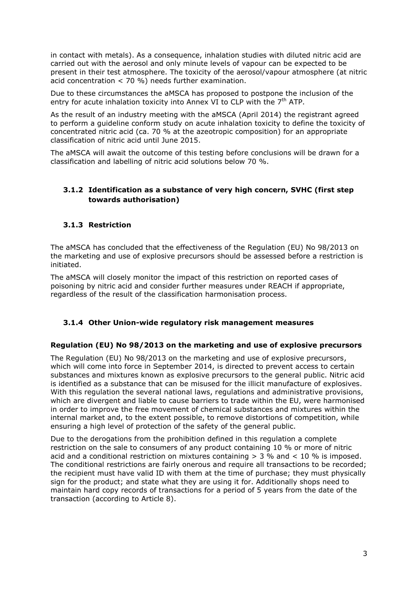in contact with metals). As a consequence, inhalation studies with diluted nitric acid are carried out with the aerosol and only minute levels of vapour can be expected to be present in their test atmosphere. The toxicity of the aerosol/vapour atmosphere (at nitric acid concentration < 70 %) needs further examination.

Due to these circumstances the aMSCA has proposed to postpone the inclusion of the entry for acute inhalation toxicity into Annex VI to CLP with the  $7<sup>th</sup>$  ATP.

As the result of an industry meeting with the aMSCA (April 2014) the registrant agreed to perform a guideline conform study on acute inhalation toxicity to define the toxicity of concentrated nitric acid (ca. 70 % at the azeotropic composition) for an appropriate classification of nitric acid until June 2015.

The aMSCA will await the outcome of this testing before conclusions will be drawn for a classification and labelling of nitric acid solutions below 70 %.

## **3.1.2 Identification as a substance of very high concern, SVHC (first step towards authorisation)**

## **3.1.3 Restriction**

The aMSCA has concluded that the effectiveness of the Regulation (EU) No 98/2013 on the marketing and use of explosive precursors should be assessed before a restriction is initiated.

The aMSCA will closely monitor the impact of this restriction on reported cases of poisoning by nitric acid and consider further measures under REACH if appropriate, regardless of the result of the classification harmonisation process.

## **3.1.4 Other Union-wide regulatory risk management measures**

#### **Regulation (EU) No 98/2013 on the marketing and use of explosive precursors**

The Regulation (EU) No 98/2013 on the marketing and use of explosive precursors, which will come into force in September 2014, is directed to prevent access to certain substances and mixtures known as explosive precursors to the general public. Nitric acid is identified as a substance that can be misused for the illicit manufacture of explosives. With this regulation the several national laws, regulations and administrative provisions, which are divergent and liable to cause barriers to trade within the EU, were harmonised in order to improve the free movement of chemical substances and mixtures within the internal market and, to the extent possible, to remove distortions of competition, while ensuring a high level of protection of the safety of the general public.

Due to the derogations from the prohibition defined in this regulation a complete restriction on the sale to consumers of any product containing 10 % or more of nitric acid and a conditional restriction on mixtures containing  $>$  3 % and  $<$  10 % is imposed. The conditional restrictions are fairly onerous and require all transactions to be recorded; the recipient must have valid ID with them at the time of purchase; they must physically sign for the product; and state what they are using it for. Additionally shops need to maintain hard copy records of transactions for a period of 5 years from the date of the transaction (according to Article 8).